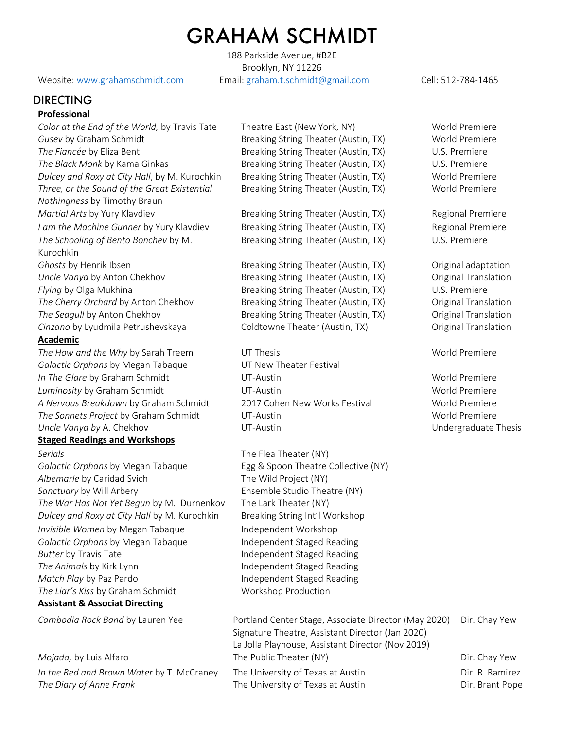# GRAHAM SCHMIDT

188 Parkside Avenue, #B2E Brooklyn, NY 11226

Website: www.grahamschmidt.com Email: graham.t.schmidt@gmail.com Cell: 512-784-1465

## DIRECTING

### **Professional**

**Gusev** by Graham Schmidt **Breaking String Theater (Austin, TX)** World Premiere **The Fiancée by Eliza Bent Community Community Breaking String Theater (Austin, TX)** U.S. Premiere *The Black Monk* by Kama Ginkas **Breaking String Theater (Austin, TX)** U.S. Premiere *Dulcey and Roxy at City Hall*, by M. Kurochkin Breaking String Theater (Austin, TX) World Premiere *Three, or the Sound of the Great Existential Nothingness* by Timothy Braun *Martial Arts* by Yury Klavdiev **Breaking String Theater (Austin, TX)** Regional Premiere *I am the Machine Gunner* by Yury Klavdiev Breaking String Theater (Austin, TX) Regional Premiere *The Schooling of Bento Bonchev* by M. Kurochkin *Ghosts* by Henrik Ibsen **Breaking String Theater (Austin, TX)** Original adaptation *Uncle Vanya* by Anton Chekhov **Breaking String Theater (Austin, TX)** Original Translation *Flying* by Olga Mukhina **Breaking String Theater (Austin, TX)** U.S. Premiere *The Cherry Orchard* by Anton Chekhov Breaking String Theater (Austin, TX) Original Translation *The Seagull* by Anton Chekhov **Breaking String Theater (Austin, TX)** Original Translation *Cinzano* by Lyudmila Petrushevskaya Coldtowne Theater (Austin, TX) Original Translation

#### **Academic**

*The How and the Why* by Sarah Treem *Galactic Orphans* by Megan Tabaque *In The Glare* by Graham Schmidt **World Premiere** UT-Austin World Premiere Luminosity by Graham Schmidt **Witter Controller UT-Austin** World Premiere World Premiere *A Nervous Breakdown* by Graham Schmidt 2017 Cohen New Works Festival World Premiere *The Sonnets Project* by Graham Schmidt UT-Austin World Premiere *Uncle Vanya by* A. Chekhov UT-Austin Undergraduate Thesis

#### **Staged Readings and Workshops**

*Serials* The Flea Theater (NY) *Galactic Orphans* by Megan Tabaque Egg & Spoon Theatre Collective (NY) *Albemarle* by Caridad Svich The Wild Project (NY) *Sanctuary* by Will Arbery **Ensemble Studio Theatre (NY)** *The War Has Not Yet Begun* by M. Durnenkov The Lark Theater (NY) *Dulcey and Roxy at City Hall* by M. Kurochkin Breaking String Int'l Workshop *Invisible Women by Megan Tabaque* **Independent Workshop** *Galactic Orphans* by Megan Tabaque **Independent Staged Reading Butter** by Travis Tate **Independent** Staged Reading *The Animals by Kirk Lynn* Independent Staged Reading *Match Play* by Paz Pardo **Independent Staged Reading** *The Liar's Kiss by Graham Schmidt* Workshop Production **Assistant & Associat Directing**

*Color at the End of the World, by Travis Tate* Theatre East (New York, NY) World Premiere Breaking String Theater (Austin, TX) World Premiere

Breaking String Theater (Austin, TX) U.S. Premiere

UT Thesis UT New Theater Festival

| Cambodia Rock Band by Lauren Yee          | Portland Center Stage, Associate Director (May 2020) | Dir. Chay Yew   |
|-------------------------------------------|------------------------------------------------------|-----------------|
|                                           | Signature Theatre, Assistant Director (Jan 2020)     |                 |
|                                           | La Jolla Playhouse, Assistant Director (Nov 2019)    |                 |
| Mojada, by Luis Alfaro                    | The Public Theater (NY)                              | Dir. Chay Yew   |
| In the Red and Brown Water by T. McCraney | The University of Texas at Austin                    | Dir. R. Ramirez |
| The Diary of Anne Frank                   | The University of Texas at Austin                    | Dir. Brant Pope |

#### World Premiere